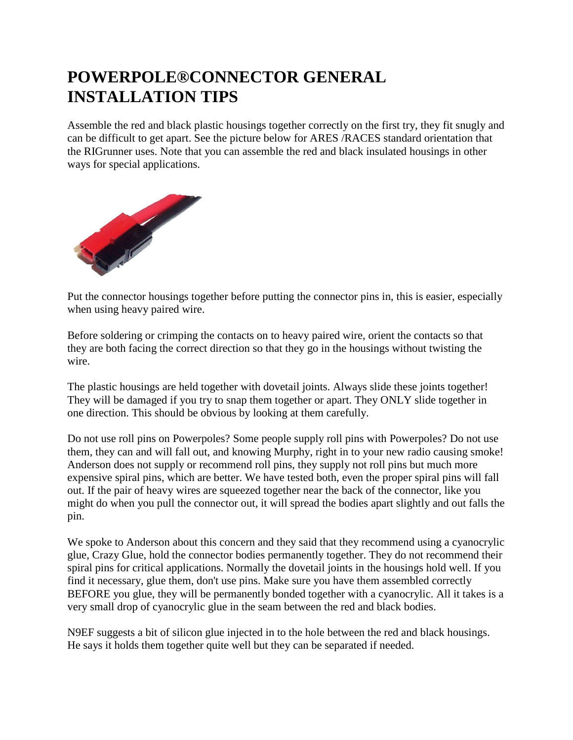## **POWERPOLE®CONNECTOR GENERAL INSTALLATION TIPS**

Assemble the red and black plastic housings together correctly on the first try, they fit snugly and can be difficult to get apart. See the picture below for ARES /RACES standard orientation that the RIGrunner uses. Note that you can assemble the red and black insulated housings in other ways for special applications.



Put the connector housings together before putting the connector pins in, this is easier, especially when using heavy paired wire.

Before soldering or crimping the contacts on to heavy paired wire, orient the contacts so that they are both facing the correct direction so that they go in the housings without twisting the wire.

The plastic housings are held together with dovetail joints. Always slide these joints together! They will be damaged if you try to snap them together or apart. They ONLY slide together in one direction. This should be obvious by looking at them carefully.

Do not use roll pins on Powerpoles? Some people supply roll pins with Powerpoles? Do not use them, they can and will fall out, and knowing Murphy, right in to your new radio causing smoke! Anderson does not supply or recommend roll pins, they supply not roll pins but much more expensive spiral pins, which are better. We have tested both, even the proper spiral pins will fall out. If the pair of heavy wires are squeezed together near the back of the connector, like you might do when you pull the connector out, it will spread the bodies apart slightly and out falls the pin.

We spoke to Anderson about this concern and they said that they recommend using a cyanocrylic glue, Crazy Glue, hold the connector bodies permanently together. They do not recommend their spiral pins for critical applications. Normally the dovetail joints in the housings hold well. If you find it necessary, glue them, don't use pins. Make sure you have them assembled correctly BEFORE you glue, they will be permanently bonded together with a cyanocrylic. All it takes is a very small drop of cyanocrylic glue in the seam between the red and black bodies.

N9EF suggests a bit of silicon glue injected in to the hole between the red and black housings. He says it holds them together quite well but they can be separated if needed.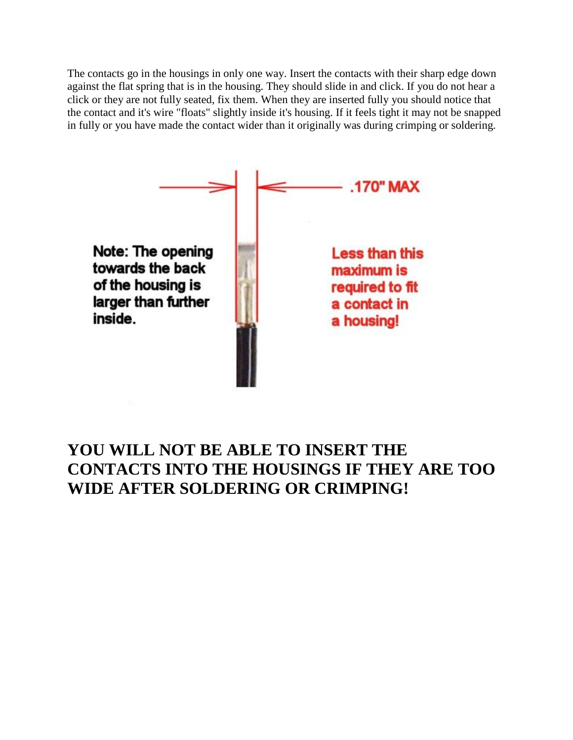The contacts go in the housings in only one way. Insert the contacts with their sharp edge down against the flat spring that is in the housing. They should slide in and click. If you do not hear a click or they are not fully seated, fix them. When they are inserted fully you should notice that the contact and it's wire "floats" slightly inside it's housing. If it feels tight it may not be snapped in fully or you have made the contact wider than it originally was during crimping or soldering.



## **YOU WILL NOT BE ABLE TO INSERT THE CONTACTS INTO THE HOUSINGS IF THEY ARE TOO WIDE AFTER SOLDERING OR CRIMPING!**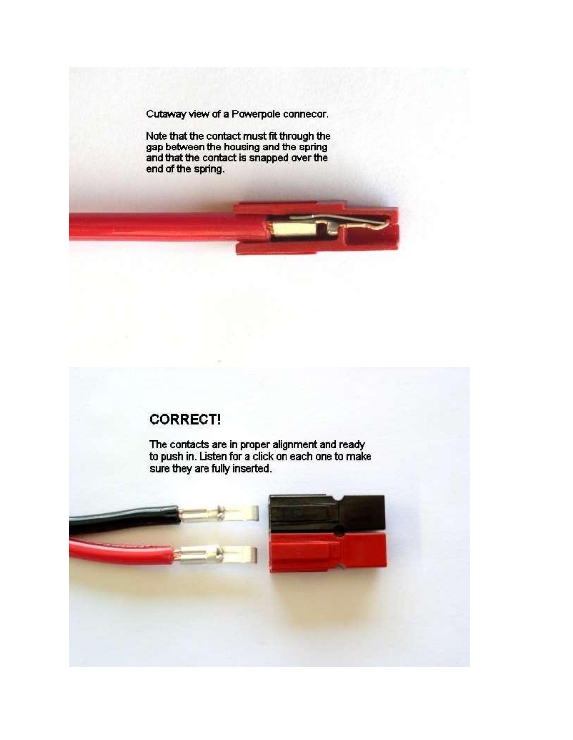Cutaway view of a Powerpole connecor.

Note that the contact must fit through the<br>gap between the housing and the spring<br>and that the contact is snapped over the end of the spring.

## **CORRECT!**

The contacts are in proper alignment and ready to push in. Listen for a click on each one to make sure they are fully inserted.

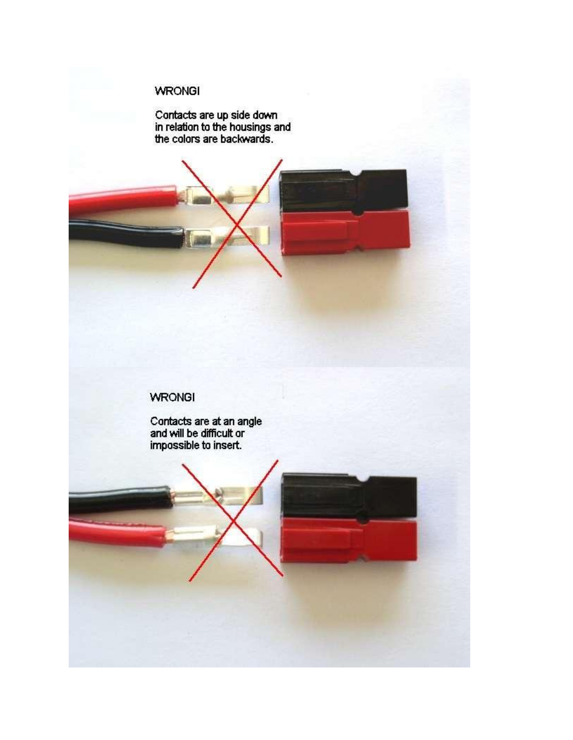## **WRONGI**

Contacts are up side down<br>in relation to the housings and<br>the colors are backwards.



Contacts are at an angle<br>and will be difficult or<br>impossible to insert.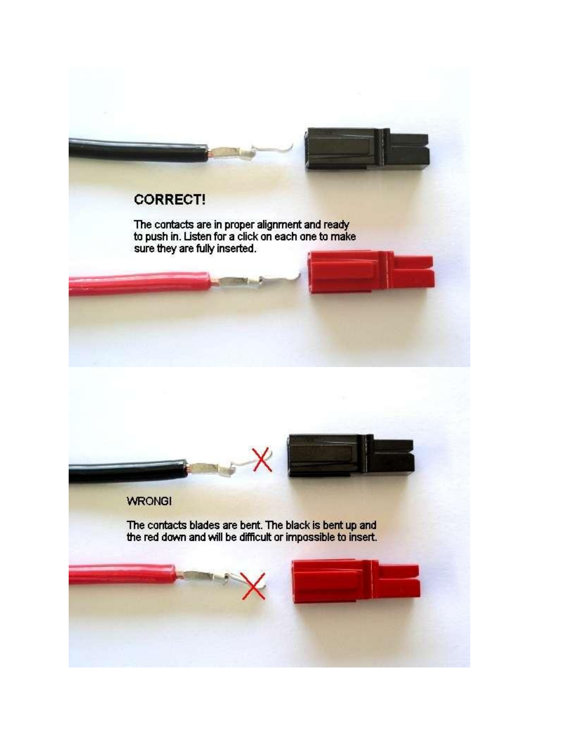